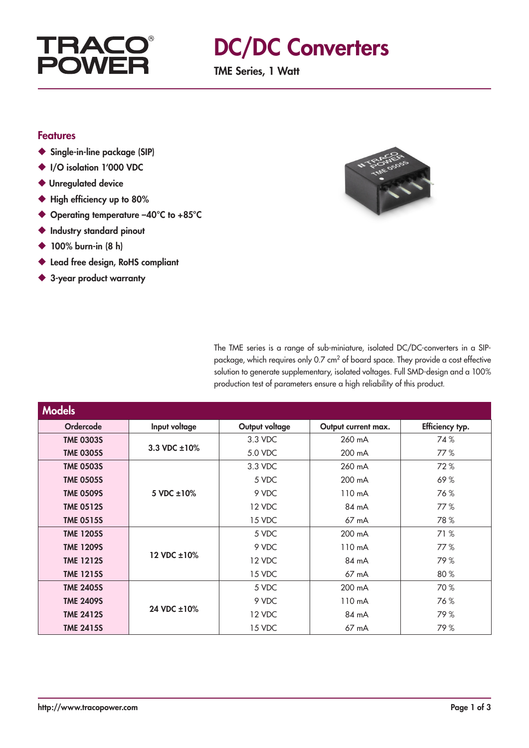

## DC/DC Converters

TME Series, 1 Watt

#### Features

- ◆ Single-in-line package (SIP)
- ◆ I/O isolation 1'000 VDC
- ◆ Unregulated device
- ◆ High efficiency up to 80%
- ◆ Operating temperature –40°C to +85°C
- ◆ Industry standard pinout
- ◆ 100% burn-in (8 h)
- ◆ Lead free design, RoHS compliant
- ◆ 3-year product warranty



The TME series is a range of sub-miniature, isolated DC/DC-converters in a SIPpackage, which requires only 0.7 cm<sup>2</sup> of board space. They provide a cost effective solution to generate supplementary, isolated voltages. Full SMD-design and a 100% production test of parameters ensure a high reliability of this product.

| <b>Models</b>    |                    |                |                     |                 |
|------------------|--------------------|----------------|---------------------|-----------------|
| <b>Ordercode</b> | Input voltage      | Output voltage | Output current max. | Efficiency typ. |
| <b>TME 0303S</b> | 3.3 VDC $\pm 10\%$ | 3.3 VDC        | 260 mA              | 74%             |
| <b>TME 0305S</b> |                    | 5.0 VDC        | 200 mA              | 77%             |
| <b>TME 0503S</b> |                    | 3.3 VDC        | 260 mA              | 72%             |
| <b>TME 0505S</b> |                    | 5 VDC          | 200 mA              | 69%             |
| <b>TME 0509S</b> | $5$ VDC $\pm 10\%$ | 9 VDC          | 110 mA              | 76%             |
| <b>TME 0512S</b> |                    | 12 VDC         | 84 mA               | 77%             |
| <b>TME 0515S</b> |                    | 15 VDC         | $67 \text{ mA}$     | 78%             |
| <b>TME 1205S</b> | 12 VDC ±10%        | 5 VDC          | 200 mA              | 71 %            |
| <b>TME 1209S</b> |                    | 9 VDC          | $110 \text{ mA}$    | 77%             |
| <b>TME 1212S</b> |                    | 12 VDC         | 84 mA               | 79%             |
| <b>TME 1215S</b> |                    | 15 VDC         | $67 \text{ mA}$     | 80%             |
| <b>TME 2405S</b> | 24 VDC ±10%        | 5 VDC          | 200 mA              | 70 %            |
| <b>TME 2409S</b> |                    | 9 VDC          | 110 mA              | 76%             |
| <b>TME 2412S</b> |                    | 12 VDC         | 84 mA               | 79%             |
| <b>TME 2415S</b> |                    | 15 VDC         | $67 \text{ mA}$     | 79%             |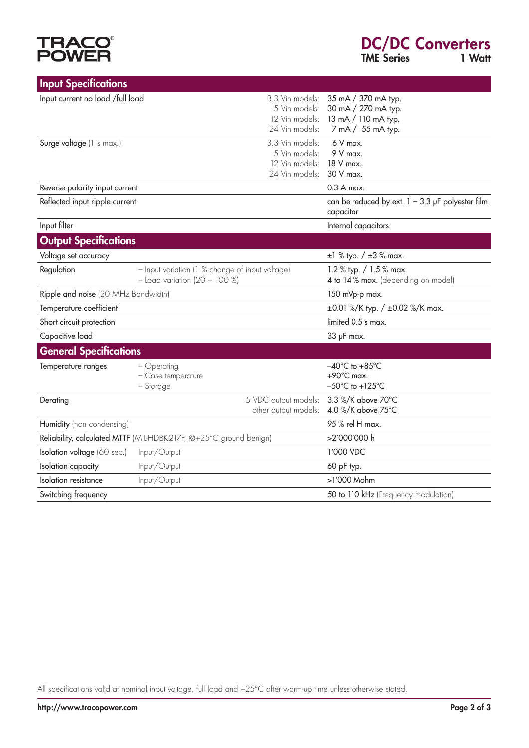# **TRACO®**<br>POWER

| <b>Input Specifications</b>                              |                                                                                    |                                                                                                    |  |
|----------------------------------------------------------|------------------------------------------------------------------------------------|----------------------------------------------------------------------------------------------------|--|
| Input current no load /full load                         | 3.3 Vin models:<br>5 Vin models:<br>12 Vin models:<br>24 Vin models:               | 35 mA / 370 mA typ.<br>30 mA / 270 mA typ.<br>13 mA / 110 mA typ.<br>7 mA / 55 mA typ.             |  |
| Surge voltage (1 s max.)                                 | 3.3 Vin models:<br>5 Vin models:<br>12 Vin models:<br>24 Vin models:               | $6V$ max.<br>9 V max.<br>18 V max.<br>30 V max.                                                    |  |
| Reverse polarity input current                           |                                                                                    | $0.3A$ max.                                                                                        |  |
| Reflected input ripple current                           |                                                                                    | can be reduced by ext. $1 - 3.3$ µF polyester film<br>capacitor                                    |  |
| Input filter                                             |                                                                                    | Internal capacitors                                                                                |  |
| <b>Output Specifications</b>                             |                                                                                    |                                                                                                    |  |
| Voltage set accuracy                                     |                                                                                    | $\pm 1$ % typ. / $\pm 3$ % max.                                                                    |  |
| Regulation                                               | - Input variation (1 % change of input voltage)<br>$-$ Load variation (20 - 100 %) | 1.2 % typ. / 1.5 % max.<br>4 to 14 % max. (depending on model)                                     |  |
| Ripple and noise (20 MHz Bandwidth)                      |                                                                                    | 150 mVp-p max.                                                                                     |  |
| Temperature coefficient                                  |                                                                                    | ±0.01 %/K typ. / ±0.02 %/K max.                                                                    |  |
| Short circuit protection                                 |                                                                                    | limited 0.5 s max.                                                                                 |  |
| Capacitive load                                          |                                                                                    | 33 µF max.                                                                                         |  |
| <b>General Specifications</b>                            |                                                                                    |                                                                                                    |  |
| Temperature ranges                                       | - Operating<br>- Case temperature<br>- Storage                                     | $-40^{\circ}$ C to $+85^{\circ}$ C<br>$+90^{\circ}$ C max.<br>$-50^{\circ}$ C to +125 $^{\circ}$ C |  |
| 5 VDC output models:<br>Derating<br>other output models: |                                                                                    | 3.3 %/K above 70°C<br>4.0 %/K above 75°C                                                           |  |
| Humidity (non condensing)                                |                                                                                    | 95 % rel H max.                                                                                    |  |
|                                                          | Reliability, calculated MTTF (MIL-HDBK-217F, @+25°C ground benign)                 | >2'000'000 h                                                                                       |  |
| Isolation voltage (60 sec.)                              | Input/Output                                                                       | 1'000 VDC                                                                                          |  |
| Isolation capacity                                       | Input/Output                                                                       | 60 pF typ.                                                                                         |  |
| Isolation resistance                                     | Input/Output                                                                       | >1'000 Mohm                                                                                        |  |
| Switching frequency                                      |                                                                                    | 50 to 110 kHz (Frequency modulation)                                                               |  |

All specifications valid at nominal input voltage, full load and +25°C after warm-up time unless otherwise stated.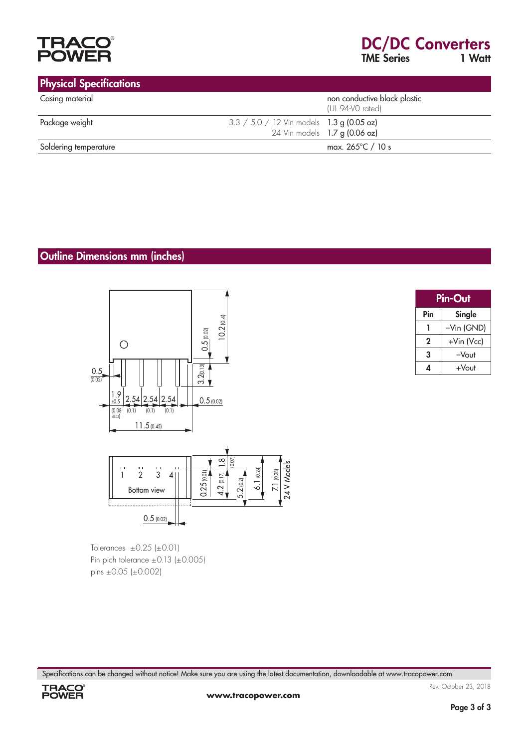

#### Physical Specifications

| <b>THE SEARCH OF BUSICAS</b> |                                                  |  |
|------------------------------|--------------------------------------------------|--|
| Casing material              | non conductive black plastic<br>(UL 94-V0 rated) |  |
| Package weight               | 3.3 / 5.0 / 12 Vin models 1.3 g (0.05 oz)        |  |
|                              | 24 Vin models 1.7 g (0.06 oz)                    |  |
| Soldering temperature        | max. 265°C / 10 s                                |  |

#### Outline Dimensions mm (inches)



Tolerances  $\pm 0.25$  ( $\pm 0.01$ ) Pin pich tolerance ±0.13 (±0.005) pins ±0.05 (±0.002)

| <b>Pin-Out</b> |            |  |
|----------------|------------|--|
| Pin            | Single     |  |
|                | -Vin (GND) |  |
| 2              | +Vin (Vcc) |  |
| 3              | $-V$ out   |  |
|                | +Vout      |  |

Specifications can be changed without notice! Make sure you are using the latest documentation, downloadable at www.tracopower.com